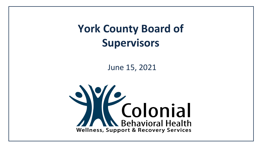**York County Board of Supervisors**

June 15, 2021

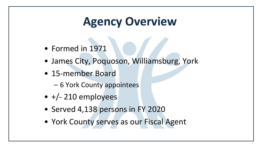# **Agency Overview**

- Formed in 1971
- James City, Poquoson, Williamsburg, York
- 15-member Board
	- 6 York County appointees
- $\bullet$  +/- 210 employees
- Served 4,138 persons in FY 2020
- York County serves as our Fiscal Agent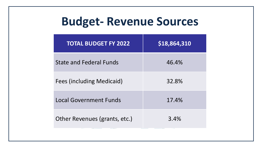## **Budget- Revenue Sources**

| <b>TOTAL BUDGET FY 2022</b>      | \$18,864,310 |
|----------------------------------|--------------|
| <b>State and Federal Funds</b>   | 46.4%        |
| <b>Fees (including Medicaid)</b> | 32.8%        |
| <b>Local Government Funds</b>    | 17.4%        |
| Other Revenues (grants, etc.)    | 3.4%         |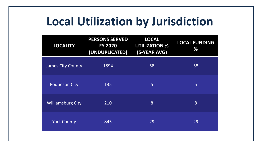## **Local Utilization by Jurisdiction**

| <b>LOCALITY</b>          | <b>PERSONS SERVED</b><br><b>FY 2020</b><br>(UNDUPLICATED) | <b>LOCAL</b><br><b>UTILIZATION %</b><br>(5-YEAR AVG) | <b>LOCAL FUNDING</b><br>% |
|--------------------------|-----------------------------------------------------------|------------------------------------------------------|---------------------------|
| <b>James City County</b> | 1894                                                      | 58                                                   | 58                        |
| Poquoson City            | 135                                                       | 5                                                    | 5                         |
| <b>Williamsburg City</b> | 210                                                       | 8                                                    | 8                         |
| <b>York County</b>       | 845                                                       | 29                                                   | 29                        |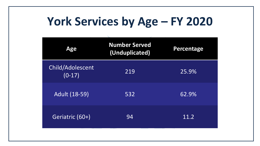# **York Services by Age – FY 2020**

| <b>Age</b>                   | <b>Number Served</b><br>(Unduplicated) | <b>Percentage</b> |
|------------------------------|----------------------------------------|-------------------|
| Child/Adolescent<br>$(0-17)$ | 219                                    | 25.9%             |
| <b>Adult (18-59)</b>         | 532                                    | 62.9%             |
| Geriatric (60+)              | 94                                     | 11.2              |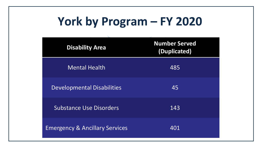# **York by Program – FY 2020**

| <b>Disability Area</b>                    | <b>Number Served</b><br>(Duplicated) |
|-------------------------------------------|--------------------------------------|
| <b>Mental Health</b>                      | 485                                  |
| <b>Developmental Disabilities</b>         | 45                                   |
| <b>Substance Use Disorders</b>            | 143                                  |
| <b>Emergency &amp; Ancillary Services</b> | 401                                  |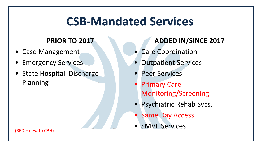### **CSB-Mandated Services**

#### **PRIOR TO 2017**

- Case Management
- **Emergency Services**
- State Hospital Discharge Planning

#### **ADDED IN/SINCE 2017**

- Care Coordination
- Outpatient Services
- Peer Services
- Primary Care Monitoring/Screening
- Psychiatric Rehab Svcs.
- **Same Day Access**
- SMVF Services

(RED = new to CBH)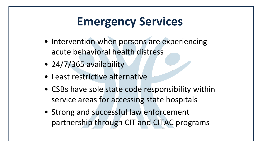# **Emergency Services**

- Intervention when persons are experiencing acute behavioral health distress
- 24/7/365 availability
- Least restrictive alternative
- CSBs have sole state code responsibility within service areas for accessing state hospitals
- Strong and successful law enforcement partnership through CIT and CITAC programs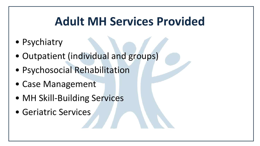# **Adult MH Services Provided**

- Psychiatry
- Outpatient (individual and groups)
- Psychosocial Rehabilitation
- Case Management
- MH Skill-Building Services
- Geriatric Services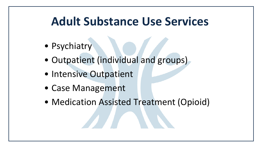#### **Adult Substance Use Services**

- Psychiatry
- Outpatient (individual and groups)
- Intensive Outpatient
- Case Management
- Medication Assisted Treatment (Opioid)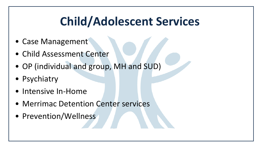# **Child/Adolescent Services**

- Case Management
- Child Assessment Center
- OP (individual and group, MH and SUD)
- Psychiatry
- Intensive In-Home
- Merrimac Detention Center services
- Prevention/Wellness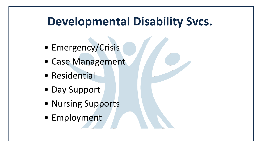## **Developmental Disability Svcs.**

- Emergency/Crisis
- Case Management
- Residential
- Day Support
- Nursing Supports
- Employment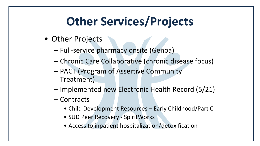# **Other Services/Projects**

- Other Projects
	- Full-service pharmacy onsite (Genoa)
	- Chronic Care Collaborative (chronic disease focus)
	- PACT (Program of Assertive Community Treatment)
	- Implemented new Electronic Health Record (5/21)
	- Contracts
		- Child Development Resources Early Childhood/Part C
		- SUD Peer Recovery SpiritWorks
		- Access to inpatient hospitalization/detoxification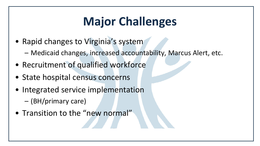# **Major Challenges**

- Rapid changes to Virginia's system
	- Medicaid changes, increased accountability, Marcus Alert, etc.
- Recruitment of qualified workforce
- State hospital census concerns
- Integrated service implementation
	- (BH/primary care)
- Transition to the "new normal"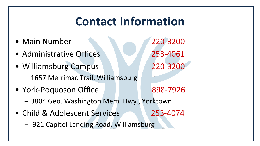## **Contact Information**

- Main Number 220-3200
- Administrative Offices 253-4061
- Williamsburg Campus 220-3200 – 1657 Merrimac Trail, Williamsburg
- York-Poquoson Office 898-7926

- 3804 Geo. Washington Mem. Hwy., Yorktown
- Child & Adolescent Services 253-4074

– 921 Capitol Landing Road, Williamsburg